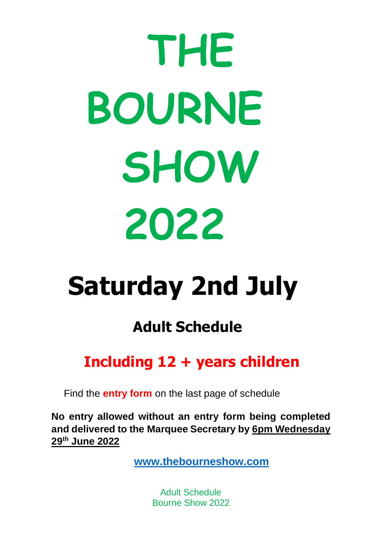# **THE BOURNE SHOW 2022**

# **Saturday 2nd July**

# **Adult Schedule**

# **Including 12 + years children**

Find the **entry form** on the last page of schedule

**No entry allowed without an entry form being completed and delivered to the Marquee Secretary by 6pm Wednesday 29th June 2022**

**[www.thebourneshow.com](http://www.thebourneshow.com/)**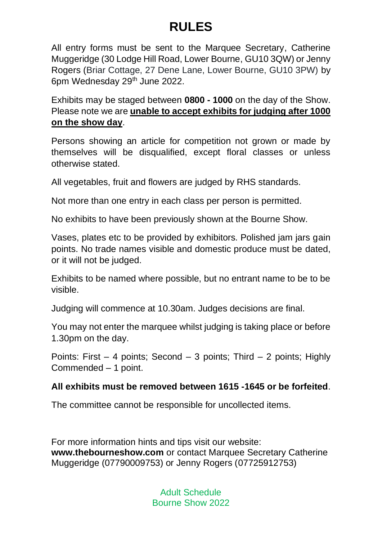# **RULES**

All entry forms must be sent to the Marquee Secretary, Catherine Muggeridge (30 Lodge Hill Road, Lower Bourne, GU10 3QW) or Jenny Rogers (Briar Cottage, 27 Dene Lane, Lower Bourne, GU10 3PW) by 6pm Wednesday 29<sup>th</sup> June 2022.

Exhibits may be staged between **0800 - 1000** on the day of the Show. Please note we are **unable to accept exhibits for judging after 1000 on the show day**.

Persons showing an article for competition not grown or made by themselves will be disqualified, except floral classes or unless otherwise stated.

All vegetables, fruit and flowers are judged by RHS standards.

Not more than one entry in each class per person is permitted.

No exhibits to have been previously shown at the Bourne Show.

Vases, plates etc to be provided by exhibitors. Polished jam jars gain points. No trade names visible and domestic produce must be dated, or it will not be judged.

Exhibits to be named where possible, but no entrant name to be to be visible.

Judging will commence at 10.30am. Judges decisions are final.

You may not enter the marquee whilst judging is taking place or before 1.30pm on the day.

Points: First – 4 points; Second – 3 points; Third – 2 points; Highly Commended – 1 point.

#### **All exhibits must be removed between 1615 -1645 or be forfeited**.

The committee cannot be responsible for uncollected items.

For more information hints and tips visit our website: **www.thebourneshow.com** or contact Marquee Secretary Catherine Muggeridge (07790009753) or Jenny Rogers (07725912753)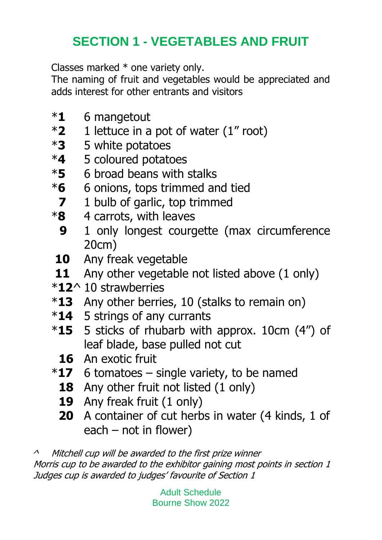# **SECTION 1 - VEGETABLES AND FRUIT**

Classes marked \* one variety only.

The naming of fruit and vegetables would be appreciated and adds interest for other entrants and visitors

- \***1** 6 mangetout
- \***2** 1 lettuce in a pot of water (1" root)
- \***3** 5 white potatoes
- \***4** 5 coloured potatoes
- \***5** 6 broad beans with stalks
- \***6** 6 onions, tops trimmed and tied
- **7** 1 bulb of garlic, top trimmed
- \***8** 4 carrots, with leaves
	- **9** 1 only longest courgette (max circumference 20cm)
- **10** Any freak vegetable
- **11** Any other vegetable not listed above (1 only)
- \***12**^ 10 strawberries
- \***13** Any other berries, 10 (stalks to remain on)
- \***14** 5 strings of any currants
- \***15** 5 sticks of rhubarb with approx. 10cm (4") of leaf blade, base pulled not cut
	- **16** An exotic fruit
- \***17** 6 tomatoes single variety, to be named
	- **18** Any other fruit not listed (1 only)
	- **19** Any freak fruit (1 only)
	- **20** A container of cut herbs in water (4 kinds, 1 of each – not in flower)

 $\lambda$  Mitchell cup will be awarded to the first prize winner Morris cup to be awarded to the exhibitor gaining most points in section 1 Judges cup is awarded to judges' favourite of Section 1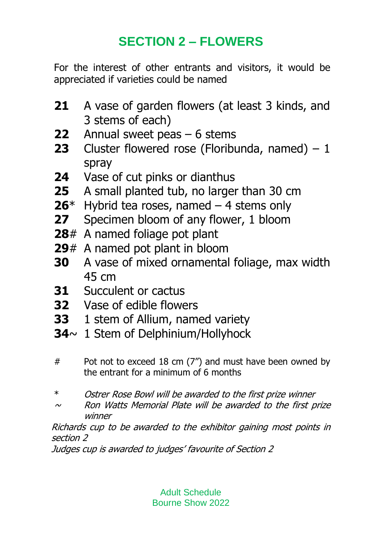# **SECTION 2 – FLOWERS**

For the interest of other entrants and visitors, it would be appreciated if varieties could be named

- **21** A vase of garden flowers (at least 3 kinds, and 3 stems of each)
- **22** Annual sweet peas 6 stems
- **23** Cluster flowered rose (Floribunda, named) 1 spray
- **24** Vase of cut pinks or dianthus
- **25** A small planted tub, no larger than 30 cm
- **26**\* Hybrid tea roses, named 4 stems only
- **27** Specimen bloom of any flower, 1 bloom
- **28**# A named foliage pot plant
- **29**# A named pot plant in bloom
- **30** A vase of mixed ornamental foliage, max width 45 cm
- **31** Succulent or cactus
- **32** Vase of edible flowers
- **33** 1 stem of Allium, named variety
- **34**~ 1 Stem of Delphinium/Hollyhock
- # Pot not to exceed 18 cm (7") and must have been owned by the entrant for a minimum of 6 months
- \* Ostrer Rose Bowl will be awarded to the first prize winner
- $\sim$  Ron Watts Memorial Plate will be awarded to the first prize winner

Richards cup to be awarded to the exhibitor gaining most points in section 2

Judges cup is awarded to judges' favourite of Section 2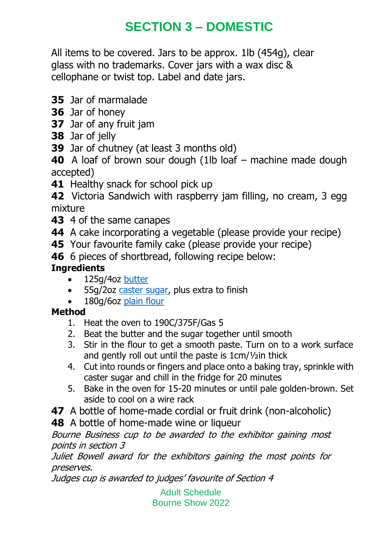# **SECTION 3 – DOMESTIC**

All items to be covered. Jars to be approx. 1lb (454g), clear glass with no trademarks. Cover jars with a wax disc & cellophane or twist top. Label and date jars.

- **35** Jar of marmalade
- **36** Jar of honey
- **37** Jar of any fruit jam
- **38** Jar of jelly
- **39** Jar of chutney (at least 3 months old)

**40** A loaf of brown sour dough (1lb loaf – machine made dough accepted)

**41** Healthy snack for school pick up

**42** Victoria Sandwich with raspberry jam filling, no cream, 3 egg mixture

- **43** 4 of the same canapes
- **44** A cake incorporating a vegetable (please provide your recipe)
- **45** Your favourite family cake (please provide your recipe)
- **46** 6 pieces of shortbread, following recipe below:

#### **Ingredients**

- 125g/4oz [butter](https://www.bbc.co.uk/food/butter)
- 55g/2oz [caster sugar,](https://www.bbc.co.uk/food/caster_sugar) plus extra to finish
- 180g/6oz [plain flour](https://www.bbc.co.uk/food/plain_flour)

#### **Method**

- 1. Heat the oven to 190C/375F/Gas 5
- 2. Beat the butter and the sugar together until smooth
- 3. Stir in the flour to get a smooth paste. Turn on to a work surface and gently roll out until the paste is 1cm/½in thick
- 4. Cut into rounds or fingers and place onto a baking tray, sprinkle with caster sugar and chill in the fridge for 20 minutes
- 5. Bake in the oven for 15-20 minutes or until pale golden-brown. Set aside to cool on a wire rack
- **47** A bottle of home-made cordial or fruit drink (non-alcoholic)
- **48** A bottle of home-made wine or liqueur

Bourne Business cup to be awarded to the exhibitor gaining most points in section 3

Juliet Bowell award for the exhibitors gaining the most points for preserves.

Judges cup is awarded to judges' favourite of Section 4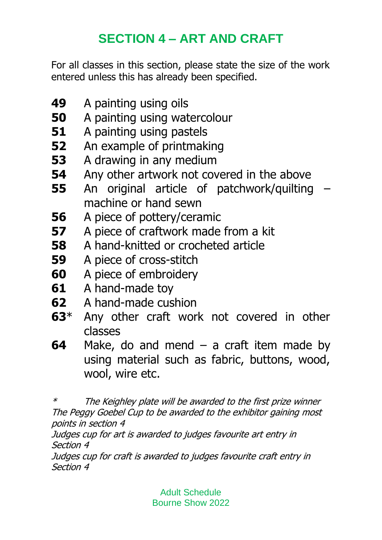# **SECTION 4 – ART AND CRAFT**

For all classes in this section, please state the size of the work entered unless this has already been specified.

- **49** A painting using oils
- **50** A painting using watercolour
- **51** A painting using pastels
- **52** An example of printmaking
- **53** A drawing in any medium
- **54** Any other artwork not covered in the above
- **55** An original article of patchwork/quilting machine or hand sewn
- **56** A piece of pottery/ceramic
- **57** A piece of craftwork made from a kit
- **58** A hand-knitted or crocheted article
- **59** A piece of cross-stitch
- **60** A piece of embroidery
- **61** A hand-made toy
- **62** A hand-made cushion
- **63**\* Any other craft work not covered in other classes
- **64** Make, do and mend a craft item made by using material such as fabric, buttons, wood, wool, wire etc.

\* The Keighley plate will be awarded to the first prize winner The Peggy Goebel Cup to be awarded to the exhibitor gaining most points in section 4

Judges cup for art is awarded to judges favourite art entry in Section 4

Judges cup for craft is awarded to judges favourite craft entry in Section 4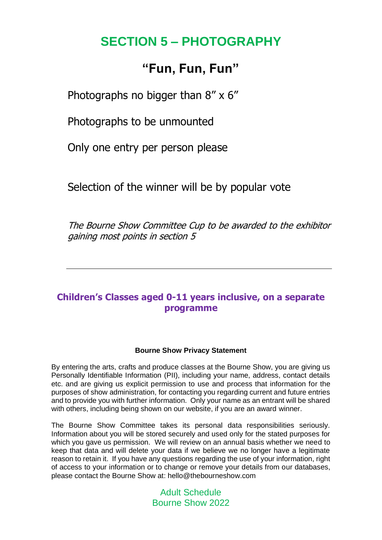### **SECTION 5 – PHOTOGRAPHY**

#### **"Fun, Fun, Fun"**

Photographs no bigger than 8" x 6"

Photographs to be unmounted

Only one entry per person please

Selection of the winner will be by popular vote

The Bourne Show Committee Cup to be awarded to the exhibitor gaining most points in section 5

#### **Children's Classes aged 0-11 years inclusive, on a separate programme**

#### **Bourne Show Privacy Statement**

By entering the arts, crafts and produce classes at the Bourne Show, you are giving us Personally Identifiable Information (PII), including your name, address, contact details etc. and are giving us explicit permission to use and process that information for the purposes of show administration, for contacting you regarding current and future entries and to provide you with further information. Only your name as an entrant will be shared with others, including being shown on our website, if you are an award winner.

The Bourne Show Committee takes its personal data responsibilities seriously. Information about you will be stored securely and used only for the stated purposes for which you gave us permission. We will review on an annual basis whether we need to keep that data and will delete your data if we believe we no longer have a legitimate reason to retain it. If you have any questions regarding the use of your information, right of access to your information or to change or remove your details from our databases, please contact the Bourne Show at: hello@thebourneshow.com